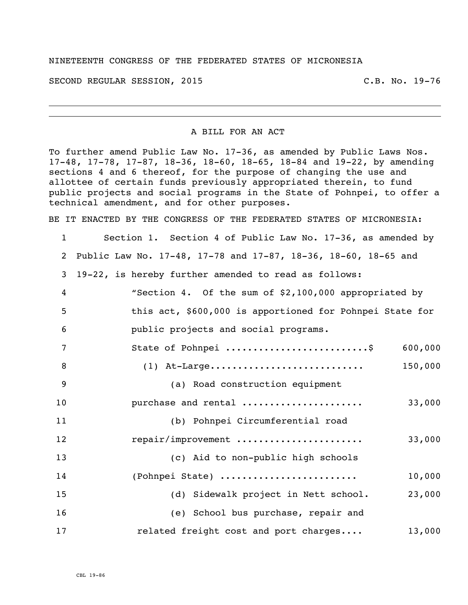## NINETEENTH CONGRESS OF THE FEDERATED STATES OF MICRONESIA

SECOND REGULAR SESSION, 2015 C.B. No. 19-76

## A BILL FOR AN ACT

To further amend Public Law No. 17-36, as amended by Public Laws Nos. 17-48, 17-78, 17-87, 18-36, 18-60, 18-65, 18-84 and 19-22, by amending sections 4 and 6 thereof, for the purpose of changing the use and allottee of certain funds previously appropriated therein, to fund public projects and social programs in the State of Pohnpei, to offer a technical amendment, and for other purposes.

BE IT ENACTED BY THE CONGRESS OF THE FEDERATED STATES OF MICRONESIA:

| $\mathbf 1$    | Section 1. Section 4 of Public Law No. 17-36, as amended by    |
|----------------|----------------------------------------------------------------|
| 2              | Public Law No. 17-48, 17-78 and 17-87, 18-36, 18-60, 18-65 and |
| 3              | 19-22, is hereby further amended to read as follows:           |
| 4              | "Section 4. Of the sum of \$2,100,000 appropriated by          |
| 5              | this act, \$600,000 is apportioned for Pohnpei State for       |
| 6              | public projects and social programs.                           |
| 7              | State of Pohnpei \$<br>600,000                                 |
| 8              | 150,000<br>$(1)$ At-Large                                      |
| $\overline{9}$ | (a) Road construction equipment                                |
| 10             | 33,000<br>purchase and rental                                  |
| 11             | (b) Pohnpei Circumferential road                               |
| 12             | repair/improvement<br>33,000                                   |
| 13             | (c) Aid to non-public high schools                             |
| 14             | (Pohnpei State)<br>10,000                                      |
| 15             | 23,000<br>(d) Sidewalk project in Nett school.                 |
| 16             | (e) School bus purchase, repair and                            |
| 17             | related freight cost and port charges<br>13,000                |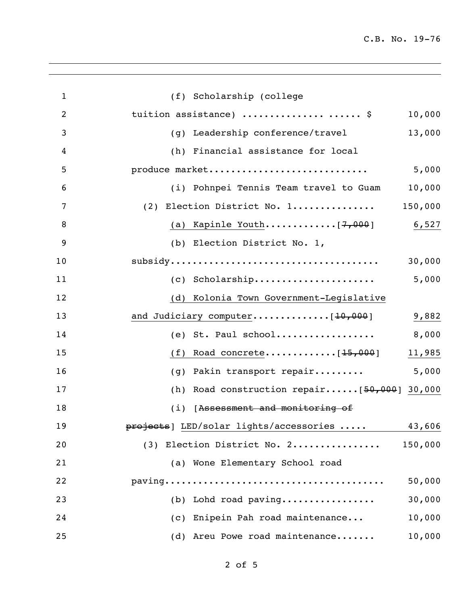C.B. No. 19-76

| 1              | (f) Scholarship (college                          |
|----------------|---------------------------------------------------|
| $\overline{c}$ | tuition assistance)   \$<br>10,000                |
| 3              | 13,000<br>(g) Leadership conference/travel        |
| 4              | (h) Financial assistance for local                |
| 5              | produce market<br>5,000                           |
| 6              | (i) Pohnpei Tennis Team travel to Guam<br>10,000  |
| 7              | 150,000<br>(2) Election District No. 1            |
| 8              | (a) Kapinle Youth[ <del>7,000</del> ]<br>6,527    |
| 9              | (b) Election District No. 1,                      |
| 10             | 30,000                                            |
| 11             | 5,000<br>(c) Scholarship                          |
| 12             | (d) Kolonia Town Government-Legislative           |
| 13             | and Judiciary computer[10,000]<br>9,882           |
| 14             | (e) St. Paul school<br>8,000                      |
| 15             | 11,985<br>(f)                                     |
| 16             | Pakin transport repair<br>5,000<br>(q)            |
| 17             | Road construction repair $[50,000]$ 30,000<br>(h) |
| 18             | (i) [Assessment and monitoring of                 |
| 19             | projects] LED/solar lights/accessories  43,606    |
| 20             | (3) Election District No. 2<br>150,000            |
| 21             | (a) Wone Elementary School road                   |
| 22             | 50,000                                            |
| 23             | 30,000<br>(b) Lohd road paving                    |
| 24             | 10,000<br>(c) Enipein Pah road maintenance        |
| 25             | (d) Areu Powe road maintenance<br>10,000          |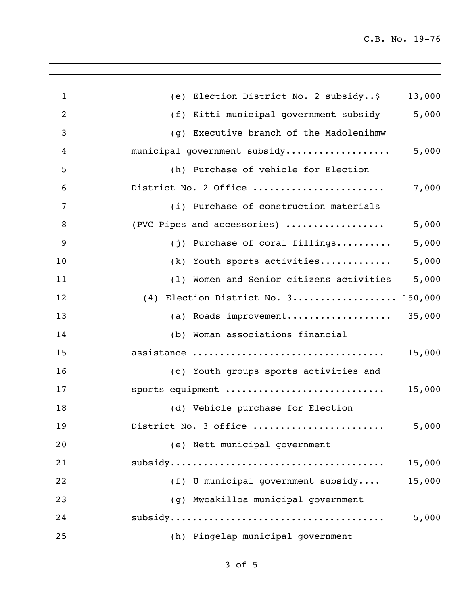| $\mathbf{1}$   | (e) Election District No. 2 subsidy\$    | 13,000 |
|----------------|------------------------------------------|--------|
| $\overline{2}$ | (f) Kitti municipal government subsidy   | 5,000  |
| 3              | (g) Executive branch of the Madolenihmw  |        |
| 4              | municipal government subsidy             | 5,000  |
| 5              | (h) Purchase of vehicle for Election     |        |
| 6              | District No. 2 Office                    | 7,000  |
| $\overline{7}$ | (i) Purchase of construction materials   |        |
| 8              | (PVC Pipes and accessories)              | 5,000  |
| 9              | $(j)$ Purchase of coral fillings         | 5,000  |
| 10             | (k) Youth sports activities              | 5,000  |
| 11             | (1) Women and Senior citizens activities | 5,000  |
| 12             | (4) Election District No. 3 150,000      |        |
| 13             | (a) Roads improvement                    | 35,000 |
| 14             | (b) Woman associations financial         |        |
| 15             | assistance                               | 15,000 |
| 16             | (c) Youth groups sports activities and   |        |
| 17             | sports equipment                         | 15,000 |
| 18             | (d) Vehicle purchase for Election        |        |
| 19             | District No. 3 office                    | 5,000  |
| 20             | (e) Nett municipal government            |        |
| 21             |                                          | 15,000 |
| 22             | (f) U municipal government subsidy       | 15,000 |
| 23             | (g) Mwoakilloa municipal government      |        |
| 24             |                                          | 5,000  |
| 25             | (h) Pingelap municipal government        |        |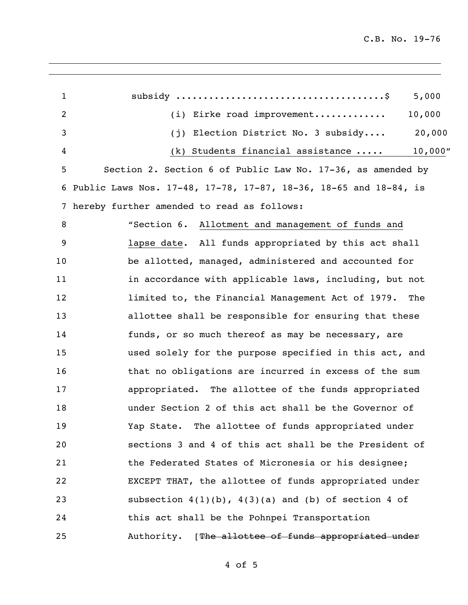| $\mathbf{1}$ | 5,000                                                            |
|--------------|------------------------------------------------------------------|
| 2            | 10,000<br>(i) Eirke road improvement                             |
| 3            | 20,000<br>(j) Election District No. 3 subsidy                    |
| 4            | 10,000''<br>$(k)$ Students financial assistance                  |
| 5            | Section 2. Section 6 of Public Law No. 17-36, as amended by      |
| 6            | Public Laws Nos. 17-48, 17-78, 17-87, 18-36, 18-65 and 18-84, is |
| 7            | hereby further amended to read as follows:                       |
| 8            | "Section 6. Allotment and management of funds and                |
| 9            | lapse date. All funds appropriated by this act shall             |
| 10           | be allotted, managed, administered and accounted for             |
| 11           | in accordance with applicable laws, including, but not           |
| 12           | limited to, the Financial Management Act of 1979.<br>The         |
| 13           | allottee shall be responsible for ensuring that these            |
| 14           | funds, or so much thereof as may be necessary, are               |
| 15           | used solely for the purpose specified in this act, and           |
| 16           | that no obligations are incurred in excess of the sum            |
| 17           | appropriated. The allottee of the funds appropriated             |
| 18           | under Section 2 of this act shall be the Governor of             |
| 19           | Yap State. The allottee of funds appropriated under              |
| 20           | sections 3 and 4 of this act shall be the President of           |
| 21           | the Federated States of Micronesia or his designee;              |
| 22           | EXCEPT THAT, the allottee of funds appropriated under            |
| 23           | subsection $4(1)(b)$ , $4(3)(a)$ and (b) of section 4 of         |
| 24           | this act shall be the Pohnpei Transportation                     |
| 25           | Authority. [The allottee of funds appropriated under             |